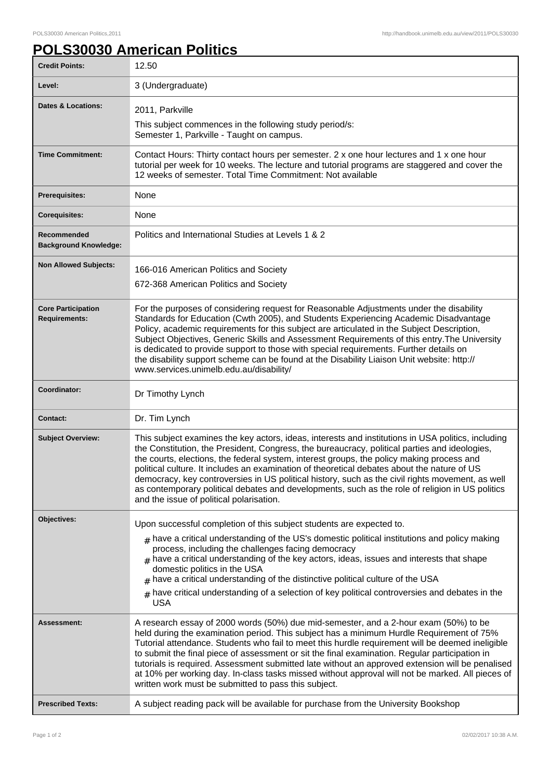## **POLS30030 American Politics**

| <b>Credit Points:</b>                             | 12.50                                                                                                                                                                                                                                                                                                                                                                                                                                                                                                                                                                                                                                                  |
|---------------------------------------------------|--------------------------------------------------------------------------------------------------------------------------------------------------------------------------------------------------------------------------------------------------------------------------------------------------------------------------------------------------------------------------------------------------------------------------------------------------------------------------------------------------------------------------------------------------------------------------------------------------------------------------------------------------------|
| Level:                                            | 3 (Undergraduate)                                                                                                                                                                                                                                                                                                                                                                                                                                                                                                                                                                                                                                      |
| <b>Dates &amp; Locations:</b>                     | 2011, Parkville                                                                                                                                                                                                                                                                                                                                                                                                                                                                                                                                                                                                                                        |
|                                                   | This subject commences in the following study period/s:<br>Semester 1, Parkville - Taught on campus.                                                                                                                                                                                                                                                                                                                                                                                                                                                                                                                                                   |
| <b>Time Commitment:</b>                           | Contact Hours: Thirty contact hours per semester. 2 x one hour lectures and 1 x one hour<br>tutorial per week for 10 weeks. The lecture and tutorial programs are staggered and cover the<br>12 weeks of semester. Total Time Commitment: Not available                                                                                                                                                                                                                                                                                                                                                                                                |
| <b>Prerequisites:</b>                             | None                                                                                                                                                                                                                                                                                                                                                                                                                                                                                                                                                                                                                                                   |
| <b>Corequisites:</b>                              | None                                                                                                                                                                                                                                                                                                                                                                                                                                                                                                                                                                                                                                                   |
| Recommended<br><b>Background Knowledge:</b>       | Politics and International Studies at Levels 1 & 2                                                                                                                                                                                                                                                                                                                                                                                                                                                                                                                                                                                                     |
| <b>Non Allowed Subjects:</b>                      | 166-016 American Politics and Society<br>672-368 American Politics and Society                                                                                                                                                                                                                                                                                                                                                                                                                                                                                                                                                                         |
| <b>Core Participation</b><br><b>Requirements:</b> | For the purposes of considering request for Reasonable Adjustments under the disability<br>Standards for Education (Cwth 2005), and Students Experiencing Academic Disadvantage<br>Policy, academic requirements for this subject are articulated in the Subject Description,<br>Subject Objectives, Generic Skills and Assessment Requirements of this entry. The University<br>is dedicated to provide support to those with special requirements. Further details on<br>the disability support scheme can be found at the Disability Liaison Unit website: http://<br>www.services.unimelb.edu.au/disability/                                       |
| Coordinator:                                      | Dr Timothy Lynch                                                                                                                                                                                                                                                                                                                                                                                                                                                                                                                                                                                                                                       |
| <b>Contact:</b>                                   | Dr. Tim Lynch                                                                                                                                                                                                                                                                                                                                                                                                                                                                                                                                                                                                                                          |
| <b>Subject Overview:</b>                          | This subject examines the key actors, ideas, interests and institutions in USA politics, including<br>the Constitution, the President, Congress, the bureaucracy, political parties and ideologies,<br>the courts, elections, the federal system, interest groups, the policy making process and<br>political culture. It includes an examination of theoretical debates about the nature of US<br>democracy, key controversies in US political history, such as the civil rights movement, as well<br>as contemporary political debates and developments, such as the role of religion in US politics<br>and the issue of political polarisation.     |
| Objectives:                                       | Upon successful completion of this subject students are expected to.                                                                                                                                                                                                                                                                                                                                                                                                                                                                                                                                                                                   |
|                                                   | $_{\#}$ have a critical understanding of the US's domestic political institutions and policy making<br>process, including the challenges facing democracy<br>$_{\#}$ have a critical understanding of the key actors, ideas, issues and interests that shape<br>domestic politics in the USA<br>have a critical understanding of the distinctive political culture of the USA<br>#<br>$_{\#}$ have critical understanding of a selection of key political controversies and debates in the<br><b>USA</b>                                                                                                                                               |
| Assessment:                                       | A research essay of 2000 words (50%) due mid-semester, and a 2-hour exam (50%) to be<br>held during the examination period. This subject has a minimum Hurdle Requirement of 75%<br>Tutorial attendance. Students who fail to meet this hurdle requirement will be deemed ineligible<br>to submit the final piece of assessment or sit the final examination. Regular participation in<br>tutorials is required. Assessment submitted late without an approved extension will be penalised<br>at 10% per working day. In-class tasks missed without approval will not be marked. All pieces of<br>written work must be submitted to pass this subject. |
| <b>Prescribed Texts:</b>                          | A subject reading pack will be available for purchase from the University Bookshop                                                                                                                                                                                                                                                                                                                                                                                                                                                                                                                                                                     |